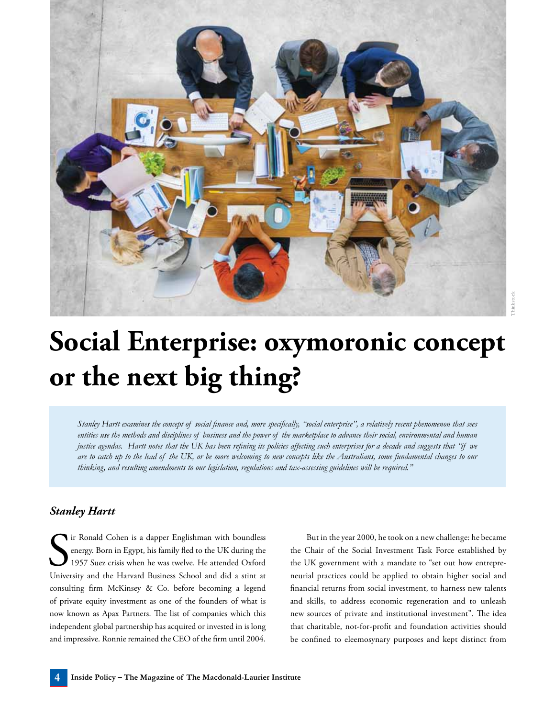

## **Social Enterprise: oxymoronic concept or the next big thing?**

*Stanley Hartt examines the concept of social finance and, more specifically, "social enterprise", a relatively recent phenomenon that sees entities use the methods and disciplines of business and the power of the marketplace to advance their social, environmental and human justice agendas. Hartt notes that the UK has been refining its policies affecting such enterprises for a decade and suggests that "if we are to catch up to the lead of the UK, or be more welcoming to new concepts like the Australians, some fundamental changes to our thinking, and resulting amendments to our legislation, regulations and tax-assessing guidelines will be required."*

## *Stanley Hartt*

S<sub>Univer</sub> ir Ronald Cohen is a dapper Englishman with boundless energy. Born in Egypt, his family fled to the UK during the 1957 Suez crisis when he was twelve. He attended Oxford University and the Harvard Business School and did a stint at consulting firm McKinsey & Co. before becoming a legend of private equity investment as one of the founders of what is now known as Apax Partners. The list of companies which this independent global partnership has acquired or invested in is long and impressive. Ronnie remained the CEO of the firm until 2004.

But in the year 2000, he took on a new challenge: he became the Chair of the Social Investment Task Force established by the UK government with a mandate to "set out how entrepreneurial practices could be applied to obtain higher social and financial returns from social investment, to harness new talents and skills, to address economic regeneration and to unleash new sources of private and institutional investment". The idea that charitable, not-for-profit and foundation activities should be confined to eleemosynary purposes and kept distinct from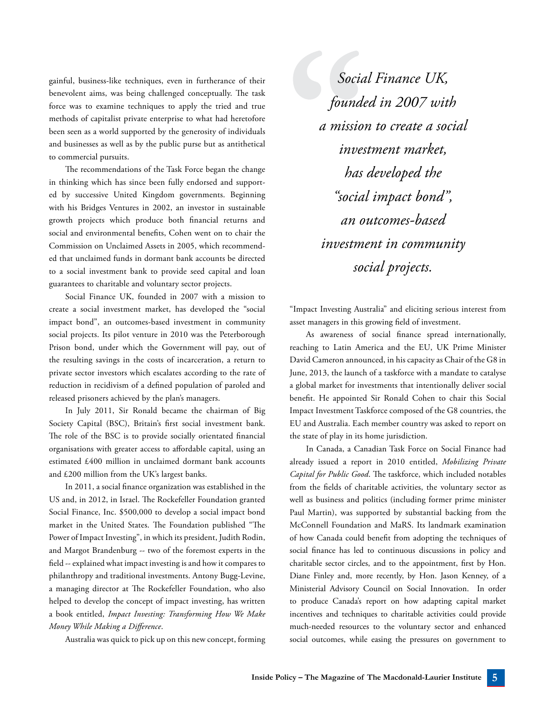gainful, business-like techniques, even in furtherance of their benevolent aims, was being challenged conceptually. The task force was to examine techniques to apply the tried and true methods of capitalist private enterprise to what had heretofore been seen as a world supported by the generosity of individuals and businesses as well as by the public purse but as antithetical to commercial pursuits.

The recommendations of the Task Force began the change in thinking which has since been fully endorsed and supported by successive United Kingdom governments. Beginning with his Bridges Ventures in 2002, an investor in sustainable growth projects which produce both financial returns and social and environmental benefits, Cohen went on to chair the Commission on Unclaimed Assets in 2005, which recommended that unclaimed funds in dormant bank accounts be directed to a social investment bank to provide seed capital and loan guarantees to charitable and voluntary sector projects.

Social Finance UK, founded in 2007 with a mission to create a social investment market, has developed the "social impact bond", an outcomes-based investment in community social projects. Its pilot venture in 2010 was the Peterborough Prison bond, under which the Government will pay, out of the resulting savings in the costs of incarceration, a return to private sector investors which escalates according to the rate of reduction in recidivism of a defined population of paroled and released prisoners achieved by the plan's managers.

In July 2011, Sir Ronald became the chairman of Big Society Capital (BSC), Britain's first social investment bank. The role of the BSC is to provide socially orientated financial organisations with greater access to affordable capital, using an estimated £400 million in unclaimed dormant bank accounts and £200 million from the UK's largest banks.

In 2011, a social finance organization was established in the US and, in 2012, in Israel. The Rockefeller Foundation granted Social Finance, Inc. \$500,000 to develop a social impact bond market in the United States. The Foundation published "The Power of Impact Investing", in which its president, Judith Rodin, and Margot Brandenburg -- two of the foremost experts in the field -- explained what impact investing is and how it compares to philanthropy and traditional investments. Antony Bugg-Levine, a managing director at The Rockefeller Foundation, who also helped to develop the concept of impact investing, has written a book entitled, *Impact Investing: Transforming How We Make Money While Making a Difference*.

Australia was quick to pick up on this new concept, forming

*Social Finance UK, founded in 2007 with a mission to create a social investment market, has developed the "social impact bond", an outcomes-based investment in community social projects.*

"Impact Investing Australia" and eliciting serious interest from asset managers in this growing field of investment.

As awareness of social finance spread internationally, reaching to Latin America and the EU, UK Prime Minister David Cameron announced, in his capacity as Chair of the G8 in June, 2013, the launch of a taskforce with a mandate to catalyse a global market for investments that intentionally deliver social benefit. He appointed Sir Ronald Cohen to chair this Social Impact Investment Taskforce composed of the G8 countries, the EU and Australia. Each member country was asked to report on the state of play in its home jurisdiction.

In Canada, a Canadian Task Force on Social Finance had already issued a report in 2010 entitled, *Mobilizing Private Capital for Public Good*. The taskforce, which included notables from the fields of charitable activities, the voluntary sector as well as business and politics (including former prime minister Paul Martin), was supported by substantial backing from the McConnell Foundation and MaRS. Its landmark examination of how Canada could benefit from adopting the techniques of social finance has led to continuous discussions in policy and charitable sector circles, and to the appointment, first by Hon. Diane Finley and, more recently, by Hon. Jason Kenney, of a Ministerial Advisory Council on Social Innovation. In order to produce Canada's report on how adapting capital market incentives and techniques to charitable activities could provide much-needed resources to the voluntary sector and enhanced social outcomes, while easing the pressures on government to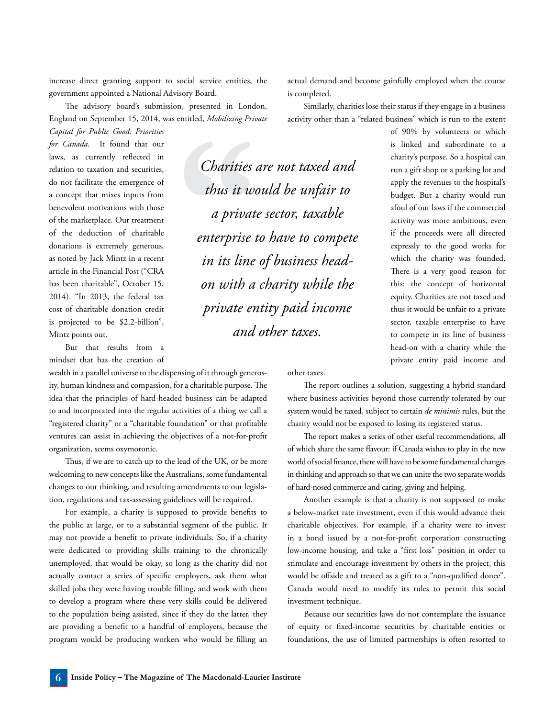increase direct granting support to social service entities, the government appointed a National Advisory Board.

The advisory board's submission, presented in London, England on September 15, 2014, was entitled, *Mobilizing Private Capital for Public Good: Priorities* 

*for Canada*. It found that our laws, as currently reflected in relation to taxation and securities, do not facilitate the emergence of a concept that mixes inputs from benevolent motivations with those of the marketplace. Our treatment of the deduction of charitable donations is extremely generous, as noted by Jack Mintz in a recent article in the Financial Post ("CRA has been charitable", October 15, 2014). "In 2013, the federal tax cost of charitable donation credit is projected to be \$2.2-billion", Mintz points out.

But that results from a mindset that has the creation of

wealth in a parallel universe to the dispensing of it through generosity, human kindness and compassion, for a charitable purpose. The idea that the principles of hard-headed business can be adapted to and incorporated into the regular activities of a thing we call a "registered charity" or a "charitable foundation" or that profitable ventures can assist in achieving the objectives of a not-for-profit organization, seems oxymoronic.

Thus, if we are to catch up to the lead of the UK, or be more welcoming to new concepts like the Australians, some fundamental changes to our thinking, and resulting amendments to our legislation, regulations and tax-assessing guidelines will be required.

For example, a charity is supposed to provide benefits to the public at large, or to a substantial segment of the public. It may not provide a benefit to private individuals. So, if a charity were dedicated to providing skills training to the chronically unemployed, that would be okay, so long as the charity did not actually contact a series of specific employers, ask them what skilled jobs they were having trouble filling, and work with them to develop a program where these very skills could be delivered to the population being assisted, since if they do the latter, they are providing a benefit to a handful of employers, because the program would be producing workers who would be filling an

*Charities are not taxed and thus it would be unfair to a private sector, taxable enterprise to have to compete in its line of business headon with a charity while the private entity paid income and other taxes.*

actual demand and become gainfully employed when the course is completed.

Similarly, charities lose their status if they engage in a business activity other than a "related business" which is run to the extent

> of 90% by volunteers or which is linked and subordinate to a charity's purpose. So a hospital can run a gift shop or a parking lot and apply the revenues to the hospital's budget. But a charity would run afoul of our laws if the commercial activity was more ambitious, even if the proceeds were all directed expressly to the good works for which the charity was founded. There is a very good reason for this: the concept of horizontal equity. Charities are not taxed and thus it would be unfair to a private sector, taxable enterprise to have to compete in its line of business head-on with a charity while the private entity paid income and

other taxes.

The report outlines a solution, suggesting a hybrid standard where business activities beyond those currently tolerated by our system would be taxed, subject to certain *de minimis* rules, but the charity would not be exposed to losing its registered status.

The report makes a series of other useful recommendations, all of which share the same flavour: if Canada wishes to play in the new world of social finance, there will have to be some fundamental changes in thinking and approach so that we can unite the two separate worlds of hard-nosed commerce and caring, giving and helping.

Another example is that a charity is not supposed to make a below-market rate investment, even if this would advance their charitable objectives. For example, if a charity were to invest in a bond issued by a not-for-profit corporation constructing low-income housing, and take a "first loss" position in order to stimulate and encourage investment by others in the project, this would be offside and treated as a gift to a "non-qualified donee". Canada would need to modify its rules to permit this social investment technique.

Because our securities laws do not contemplate the issuance of equity or fixed-income securities by charitable entities or foundations, the use of limited partnerships is often resorted to